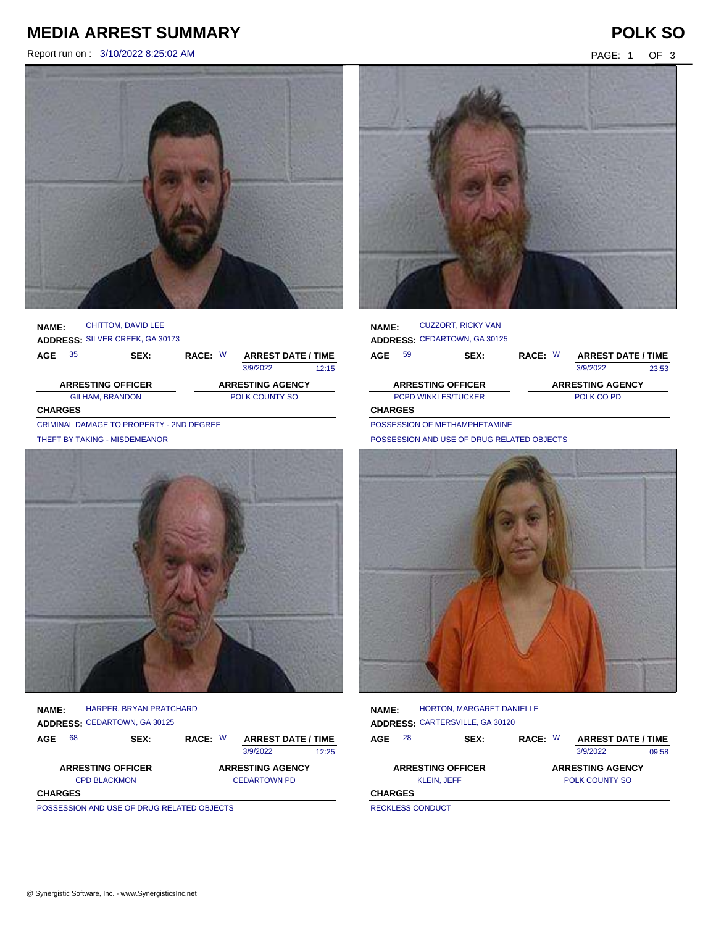# **MEDIA ARREST SUMMARY POLK SO**

Report run on : 3/10/2022 8:25:02 AM PAGE: 1 OF 3



### **NAME: ADDRESS:** SILVER CREEK, GA 30173 CHITTOM, DAVID LEE

| ---------      |                                          |      |                       |  |                           |       |  |  |
|----------------|------------------------------------------|------|-----------------------|--|---------------------------|-------|--|--|
| AGE            | 35                                       | SEX: | RACE: W               |  | <b>ARREST DATE / TIME</b> |       |  |  |
|                |                                          |      |                       |  | 3/9/2022                  | 12:15 |  |  |
|                | <b>ARRESTING OFFICER</b>                 |      |                       |  | <b>ARRESTING AGENCY</b>   |       |  |  |
|                | <b>GILHAM, BRANDON</b>                   |      | <b>POLK COUNTY SO</b> |  |                           |       |  |  |
| <b>CHARGES</b> |                                          |      |                       |  |                           |       |  |  |
|                | CRIMINAL DAMAGE TO PROPERTY - 2ND DEGREE |      |                       |  |                           |       |  |  |

THEFT BY TAKING - MISDEMEANOR



### **NAME: ADDRESS:** CEDARTOWN, GA 30125 HARPER, BRYAN PRATCHARD

| AGE            | 68                                          | SEX: | RACE: W |                     | <b>ARREST DATE / TIME</b> |       |  |
|----------------|---------------------------------------------|------|---------|---------------------|---------------------------|-------|--|
|                |                                             |      |         |                     | 3/9/2022                  | 12:25 |  |
|                | <b>ARRESTING OFFICER</b>                    |      |         |                     | <b>ARRESTING AGENCY</b>   |       |  |
|                | <b>CPD BLACKMON</b>                         |      |         | <b>CEDARTOWN PD</b> |                           |       |  |
| <b>CHARGES</b> |                                             |      |         |                     |                           |       |  |
|                | BOOGFOOIOU AND USE OF BRUO BELATER OR IFOTO |      |         |                     |                           |       |  |

POSSESSION AND USE OF DRUG RELATED OBJECTS



| <b>NAME:</b>   |    | <b>CUZZORT, RICKY VAN</b><br><b>ADDRESS: CEDARTOWN, GA 30125</b> |         |                           |       |
|----------------|----|------------------------------------------------------------------|---------|---------------------------|-------|
| AGE            | 59 | SEX:                                                             | RACE: W | <b>ARREST DATE / TIME</b> |       |
|                |    |                                                                  |         | 3/9/2022                  | 23:53 |
|                |    | <b>ARRESTING OFFICER</b>                                         |         | <b>ARRESTING AGENCY</b>   |       |
|                |    | <b>PCPD WINKLES/TUCKER</b>                                       |         | POLK CO PD                |       |
| <b>CHARGES</b> |    |                                                                  |         |                           |       |

POSSESSION OF METHAMPHETAMINE

POSSESSION AND USE OF DRUG RELATED OBJECTS



#### **NAME: ADDRESS:** CARTERSVILLE, GA 30120 HORTON, MARGARET DANIELLE

| <b>AGE</b>     | 28                       | SEX: | RACE: W        |  | <b>ARREST DATE / TIME</b> |       |  |
|----------------|--------------------------|------|----------------|--|---------------------------|-------|--|
|                |                          |      |                |  | 3/9/2022                  | 09:58 |  |
|                | <b>ARRESTING OFFICER</b> |      |                |  | <b>ARRESTING AGENCY</b>   |       |  |
|                | <b>KLEIN, JEFF</b>       |      | POLK COUNTY SO |  |                           |       |  |
| <b>CHARGES</b> |                          |      |                |  |                           |       |  |
|                |                          |      |                |  |                           |       |  |

RECKLESS CONDUCT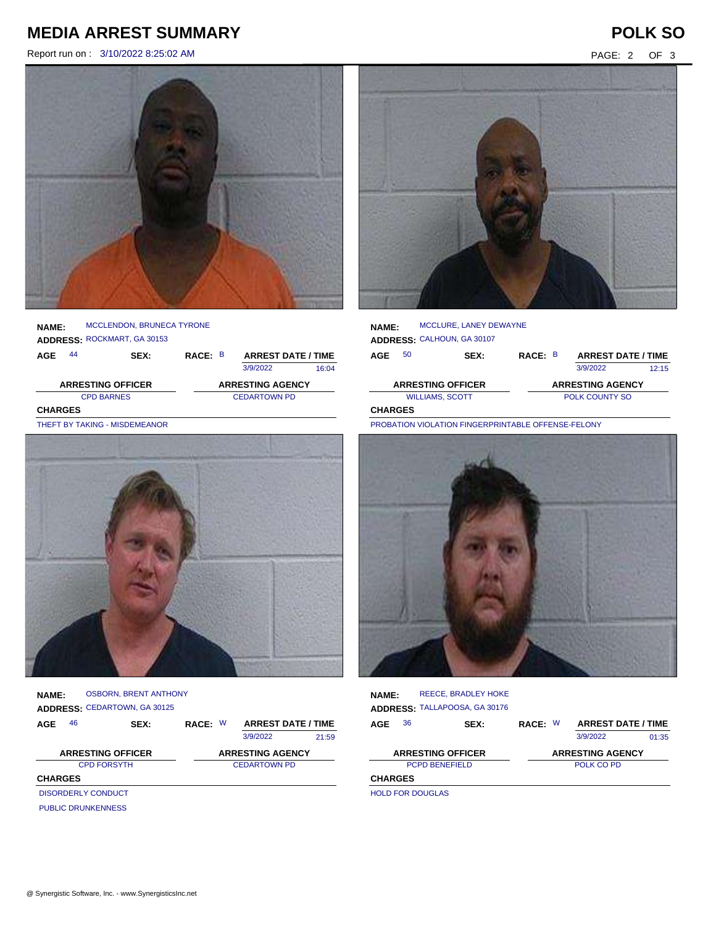# **MEDIA ARREST SUMMARY POLK SO**

Report run on : 3/10/2022 8:25:02 AM PAGE: 2 OF 3



|              | <b>ARRESTING OFFICER</b>         |         | <b>ARRESTING AGENCY</b>   |       |
|--------------|----------------------------------|---------|---------------------------|-------|
|              |                                  |         | 3/9/2022                  | 16:04 |
| 44<br>AGE    | SEX:                             | RACE: B | <b>ARREST DATE / TIME</b> |       |
|              | ADDRESS: ROCKMART, GA 30153      |         |                           |       |
| <b>NAME:</b> | <b>MCCLENDON, BRUNECA TYRONE</b> |         |                           |       |
|              |                                  |         |                           |       |

CPD BARNES CEDARTOWN PD **CHARGES**

THEFT BY TAKING - MISDEMEANOR



**NAME: ADDRESS:** CEDARTOWN, GA 30125 OSBORN, BRENT ANTHONY

| AGE            | 46                        | <b>SEX:</b> | RACE: W | <b>ARREST DATE / TIME</b> |       |
|----------------|---------------------------|-------------|---------|---------------------------|-------|
|                |                           |             |         | 3/9/2022                  | 21:59 |
|                | <b>ARRESTING OFFICER</b>  |             |         | <b>ARRESTING AGENCY</b>   |       |
|                | <b>CPD FORSYTH</b>        |             |         | <b>CEDARTOWN PD</b>       |       |
| <b>CHARGES</b> |                           |             |         |                           |       |
|                | <b>DISORDERLY CONDUCT</b> |             |         |                           |       |
|                | <b>PUBLIC DRUNKENNESS</b> |             |         |                           |       |



| <b>NAME:</b>   |    | MCCLURE, LANEY DEWAYNE     |         |                           |       |
|----------------|----|----------------------------|---------|---------------------------|-------|
|                |    | ADDRESS: CALHOUN, GA 30107 |         |                           |       |
| AGE            | 50 | SEX:                       | RACE: B | <b>ARREST DATE / TIME</b> |       |
|                |    |                            |         | 3/9/2022                  | 12:15 |
|                |    | <b>ARRESTING OFFICER</b>   |         | <b>ARRESTING AGENCY</b>   |       |
|                |    | <b>WILLIAMS, SCOTT</b>     |         | <b>POLK COUNTY SO</b>     |       |
| <b>CHARGES</b> |    |                            |         |                           |       |

PROBATION VIOLATION FINGERPRINTABLE OFFENSE-FELONY



| <b>NAME:</b>            | <b>REECE, BRADLEY HOKE</b><br>ADDRESS: TALLAPOOSA, GA 30176 |         |          |                           |       |
|-------------------------|-------------------------------------------------------------|---------|----------|---------------------------|-------|
| 36<br>AGE               | SEX:                                                        | RACE: W |          | <b>ARREST DATE / TIME</b> |       |
|                         |                                                             |         | 3/9/2022 |                           | 01:35 |
|                         | <b>ARRESTING OFFICER</b>                                    |         |          | <b>ARRESTING AGENCY</b>   |       |
|                         | <b>PCPD BENEFIELD</b>                                       |         |          | POLK CO PD                |       |
| <b>CHARGES</b>          |                                                             |         |          |                           |       |
| <b>HOLD FOR DOUGLAS</b> |                                                             |         |          |                           |       |